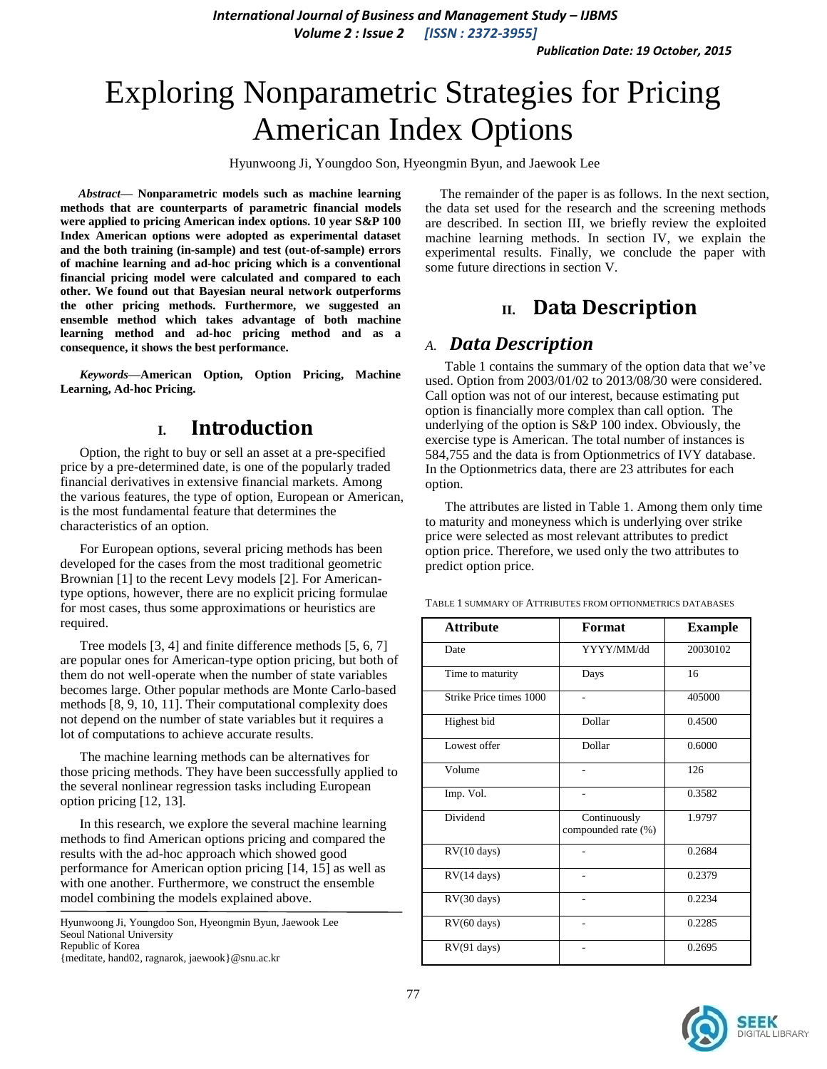*International Journal of Business and Management Study – IJBMS Volume 2 : Issue 2 [ISSN : 2372-3955]*

*Publication Date: 19 October, 2015*

# Exploring Nonparametric Strategies for Pricing American Index Options

Hyunwoong Ji, Youngdoo Son, Hyeongmin Byun, and Jaewook Lee

*Abstract***— Nonparametric models such as machine learning methods that are counterparts of parametric financial models were applied to pricing American index options. 10 year S&P 100 Index American options were adopted as experimental dataset and the both training (in-sample) and test (out-of-sample) errors of machine learning and ad-hoc pricing which is a conventional financial pricing model were calculated and compared to each other. We found out that Bayesian neural network outperforms the other pricing methods. Furthermore, we suggested an ensemble method which takes advantage of both machine learning method and ad-hoc pricing method and as a consequence, it shows the best performance.**

*Keywords—***American Option, Option Pricing, Machine Learning, Ad-hoc Pricing.**

### **I. Introduction**

Option, the right to buy or sell an asset at a pre-specified price by a pre-determined date, is one of the popularly traded financial derivatives in extensive financial markets. Among the various features, the type of option, European or American, is the most fundamental feature that determines the characteristics of an option.

For European options, several pricing methods has been developed for the cases from the most traditional geometric Brownian [1] to the recent Levy models [2]. For Americantype options, however, there are no explicit pricing formulae for most cases, thus some approximations or heuristics are required.

Tree models [3, 4] and finite difference methods [5, 6, 7] are popular ones for American-type option pricing, but both of them do not well-operate when the number of state variables becomes large. Other popular methods are Monte Carlo-based methods [8, 9, 10, 11]. Their computational complexity does not depend on the number of state variables but it requires a lot of computations to achieve accurate results.

The machine learning methods can be alternatives for those pricing methods. They have been successfully applied to the several nonlinear regression tasks including European option pricing [12, 13].

In this research, we explore the several machine learning methods to find American options pricing and compared the results with the ad-hoc approach which showed good performance for American option pricing [14, 15] as well as with one another. Furthermore, we construct the ensemble model combining the models explained above.

Hyunwoong Ji, Youngdoo Son, Hyeongmin Byun, Jaewook Lee Seoul National University Republic of Korea {meditate, hand02, ragnarok, jaewook}@snu.ac.kr

The remainder of the paper is as follows. In the next section, the data set used for the research and the screening methods are described. In section III, we briefly review the exploited machine learning methods. In section IV, we explain the experimental results. Finally, we conclude the paper with some future directions in section V.

## **II. Data Description**

### *A. Data Description*

Table 1 contains the summary of the option data that we've used. Option from 2003/01/02 to 2013/08/30 were considered. Call option was not of our interest, because estimating put option is financially more complex than call option. The underlying of the option is S&P 100 index. Obviously, the exercise type is American. The total number of instances is 584,755 and the data is from Optionmetrics of IVY database. In the Optionmetrics data, there are 23 attributes for each option.

The attributes are listed in Table 1. Among them only time to maturity and moneyness which is underlying over strike price were selected as most relevant attributes to predict option price. Therefore, we used only the two attributes to predict option price.

| <b>Attribute</b>        | Format                              | <b>Example</b> |
|-------------------------|-------------------------------------|----------------|
| Date                    | YYYY/MM/dd                          | 20030102       |
| Time to maturity        | Days                                | 16             |
| Strike Price times 1000 |                                     | 405000         |
| Highest bid             | Dollar                              | 0.4500         |
| Lowest offer            | Dollar                              | 0.6000         |
| Volume                  |                                     | 126            |
| Imp. Vol.               |                                     | 0.3582         |
| Dividend                | Continuously<br>compounded rate (%) | 1.9797         |
| RV(10 days)             |                                     | 0.2684         |
| $RV(14 \text{ days})$   |                                     | 0.2379         |
| RV(30 days)             |                                     | 0.2234         |
| $RV(60 \text{ days})$   |                                     | 0.2285         |
| $RV(91 \text{ days})$   |                                     | 0.2695         |

TABLE 1 SUMMARY OF ATTRIBUTES FROM OPTIONMETRICS DATABASES

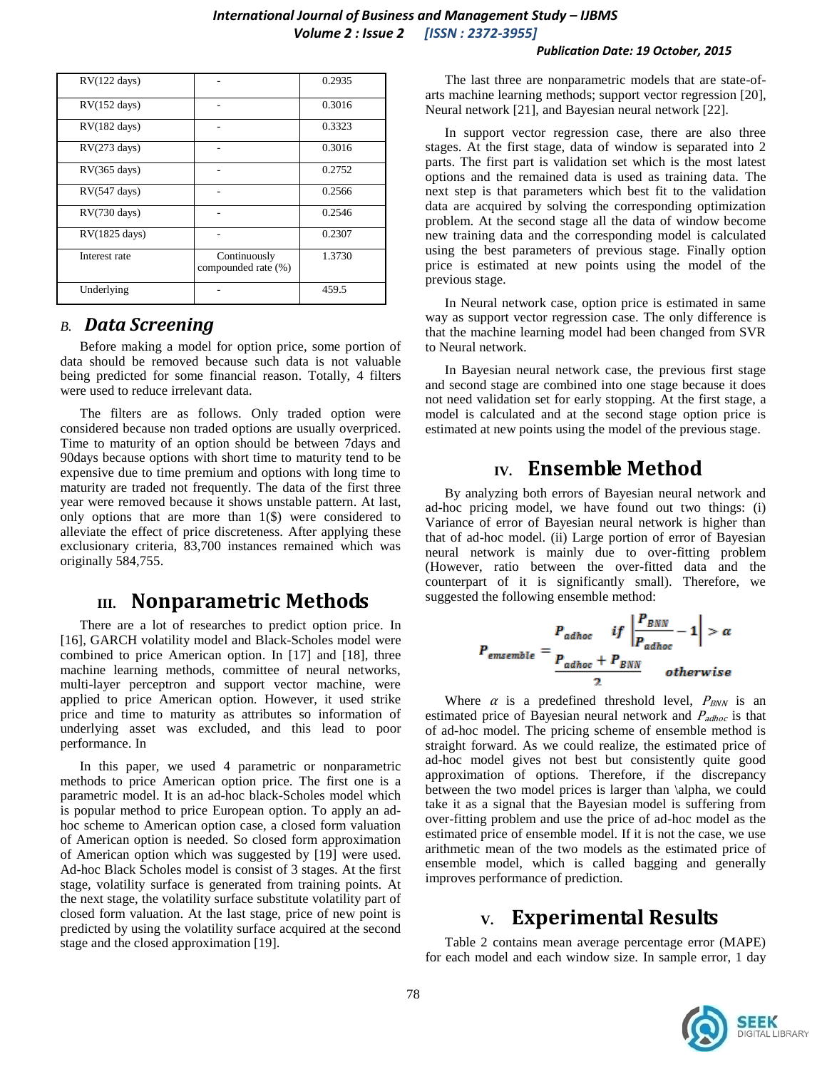#### *International Journal of Business and Management Study – IJBMS Volume 2 : Issue 2 [ISSN : 2372-3955]*

#### *Publication Date: 19 October, 2015*

| $RV(122 \text{ days})$ |                                     | 0.2935 |
|------------------------|-------------------------------------|--------|
| $RV(152 \text{ days})$ |                                     | 0.3016 |
| $RV(182 \text{ days})$ |                                     | 0.3323 |
| RV(273 days)           |                                     | 0.3016 |
| $RV(365 \text{ days})$ |                                     | 0.2752 |
| RV(547 days)           |                                     | 0.2566 |
| $RV(730 \text{ days})$ |                                     | 0.2546 |
| RV(1825 days)          |                                     | 0.2307 |
| Interest rate          | Continuously<br>compounded rate (%) | 1.3730 |
| Underlying             |                                     | 459.5  |

### *B. Data Screening*

Before making a model for option price, some portion of data should be removed because such data is not valuable being predicted for some financial reason. Totally, 4 filters were used to reduce irrelevant data.

The filters are as follows. Only traded option were considered because non traded options are usually overpriced. Time to maturity of an option should be between 7days and 90days because options with short time to maturity tend to be expensive due to time premium and options with long time to maturity are traded not frequently. The data of the first three year were removed because it shows unstable pattern. At last, only options that are more than  $1(\text{\$})$  were considered to alleviate the effect of price discreteness. After applying these exclusionary criteria, 83,700 instances remained which was originally 584,755.

### **III. Nonparametric Methods**

There are a lot of researches to predict option price. In [16], GARCH volatility model and Black-Scholes model were combined to price American option. In [17] and [18], three machine learning methods, committee of neural networks, multi-layer perceptron and support vector machine, were applied to price American option. However, it used strike price and time to maturity as attributes so information of underlying asset was excluded, and this lead to poor performance. In

In this paper, we used 4 parametric or nonparametric methods to price American option price. The first one is a parametric model. It is an ad-hoc black-Scholes model which is popular method to price European option. To apply an adhoc scheme to American option case, a closed form valuation of American option is needed. So closed form approximation of American option which was suggested by [19] were used. Ad-hoc Black Scholes model is consist of 3 stages. At the first stage, volatility surface is generated from training points. At the next stage, the volatility surface substitute volatility part of closed form valuation. At the last stage, price of new point is predicted by using the volatility surface acquired at the second stage and the closed approximation [19].

The last three are nonparametric models that are state-ofarts machine learning methods; support vector regression [20], Neural network [21], and Bayesian neural network [22].

In support vector regression case, there are also three stages. At the first stage, data of window is separated into 2 parts. The first part is validation set which is the most latest options and the remained data is used as training data. The next step is that parameters which best fit to the validation data are acquired by solving the corresponding optimization problem. At the second stage all the data of window become new training data and the corresponding model is calculated using the best parameters of previous stage. Finally option price is estimated at new points using the model of the previous stage.

In Neural network case, option price is estimated in same way as support vector regression case. The only difference is that the machine learning model had been changed from SVR to Neural network.

In Bayesian neural network case, the previous first stage and second stage are combined into one stage because it does not need validation set for early stopping. At the first stage, a model is calculated and at the second stage option price is estimated at new points using the model of the previous stage.

# **IV. Ensemble Method**

By analyzing both errors of Bayesian neural network and ad-hoc pricing model, we have found out two things: (i) Variance of error of Bayesian neural network is higher than that of ad-hoc model. (ii) Large portion of error of Bayesian neural network is mainly due to over-fitting problem (However, ratio between the over-fitted data and the counterpart of it is significantly small). Therefore, we suggested the following ensemble method:

$$
P_{\text{ensemble}} = \frac{P_{\text{adhoc}}}{P_{\text{adhoc}} + P_{\text{BNN}}} - 1 > \alpha
$$
\n
$$
\frac{P_{\text{adhoc}}}{P_{\text{adhoc}} + P_{\text{BNN}}} - 1
$$
\n
$$
0
$$

Where  $\alpha$  is a predefined threshold level,  $P_{BNN}$  is an estimated price of Bayesian neural network and  $P_{adhoc}$  is that of ad-hoc model. The pricing scheme of ensemble method is straight forward. As we could realize, the estimated price of ad-hoc model gives not best but consistently quite good approximation of options. Therefore, if the discrepancy between the two model prices is larger than \alpha, we could take it as a signal that the Bayesian model is suffering from over-fitting problem and use the price of ad-hoc model as the estimated price of ensemble model. If it is not the case, we use arithmetic mean of the two models as the estimated price of ensemble model, which is called bagging and generally improves performance of prediction.

## **V. Experimental Results**

Table 2 contains mean average percentage error (MAPE) for each model and each window size. In sample error, 1 day

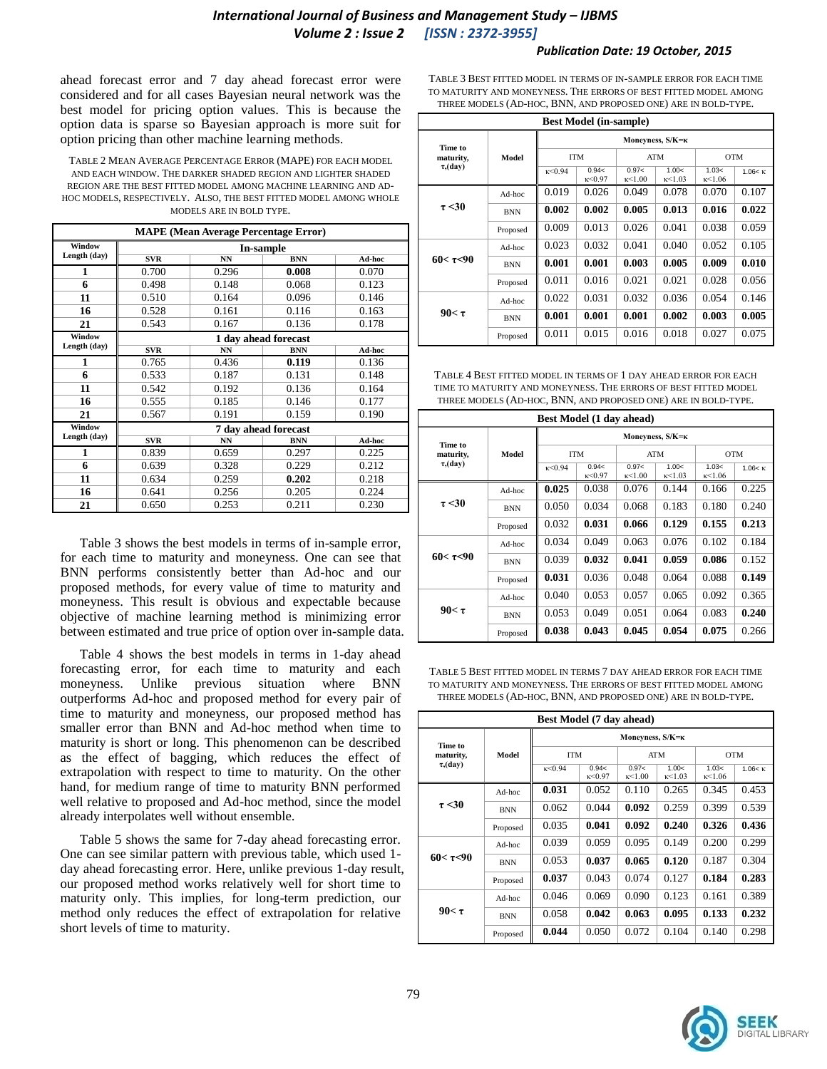#### *International Journal of Business and Management Study – IJBMS Volume 2 : Issue 2 [ISSN : 2372-3955]*

#### *Publication Date: 19 October, 2015*

ahead forecast error and 7 day ahead forecast error were considered and for all cases Bayesian neural network was the best model for pricing option values. This is because the option data is sparse so Bayesian approach is more suit for option pricing than other machine learning methods.

TABLE 2 MEAN AVERAGE PERCENTAGE ERROR (MAPE) FOR EACH MODEL AND EACH WINDOW. THE DARKER SHADED REGION AND LIGHTER SHADED REGION ARE THE BEST FITTED MODEL AMONG MACHINE LEARNING AND AD-HOC MODELS, RESPECTIVELY. ALSO, THE BEST FITTED MODEL AMONG WHOLE MODELS ARE IN BOLD TYPE.

| <b>MAPE</b> (Mean Average Percentage Error) |            |                      |                      |        |  |  |  |
|---------------------------------------------|------------|----------------------|----------------------|--------|--|--|--|
| Window                                      | In-sample  |                      |                      |        |  |  |  |
| Length (day)                                | SVR        | <b>NN</b>            | <b>BNN</b>           | Ad-hoc |  |  |  |
| 1                                           | 0.700      | 0.296                | 0.008                | 0.070  |  |  |  |
| 6                                           | 0.498      | 0.148                | 0.068                | 0.123  |  |  |  |
| 11                                          | 0.510      | 0.164                | 0.096                | 0.146  |  |  |  |
| 16                                          | 0.528      | 0.161                | 0.116                | 0.163  |  |  |  |
| 21                                          | 0.543      | 0.167                | 0.136                | 0.178  |  |  |  |
| Window                                      |            |                      | 1 day ahead forecast |        |  |  |  |
| Length (day)                                | <b>SVR</b> | <b>NN</b>            | <b>BNN</b>           | Ad-hoc |  |  |  |
| 1                                           | 0.765      | 0.436                | 0.119                | 0.136  |  |  |  |
| 6                                           | 0.533      | 0.187                | 0.131                | 0.148  |  |  |  |
| 11                                          | 0.542      | 0.192                | 0.136                | 0.164  |  |  |  |
| 16                                          | 0.555      | 0.185                | 0.146                | 0.177  |  |  |  |
| 21                                          | 0.567      | 0.191                | 0.159                | 0.190  |  |  |  |
| Window                                      |            | 7 day ahead forecast |                      |        |  |  |  |
| Length (day)                                | SVR        | <b>NN</b>            | <b>BNN</b>           | Ad-hoc |  |  |  |
| 1                                           | 0.839      | 0.659                | 0.297                | 0.225  |  |  |  |
| 6                                           | 0.639      | 0.328                | 0.229                | 0.212  |  |  |  |
| 11                                          | 0.634      | 0.259                | 0.202                | 0.218  |  |  |  |
| 16                                          | 0.641      | 0.256                | 0.205                | 0.224  |  |  |  |
| 21                                          | 0.650      | 0.253                | 0.211                | 0.230  |  |  |  |

Table 3 shows the best models in terms of in-sample error, for each time to maturity and moneyness. One can see that BNN performs consistently better than Ad-hoc and our proposed methods, for every value of time to maturity and moneyness. This result is obvious and expectable because objective of machine learning method is minimizing error between estimated and true price of option over in-sample data.

Table 4 shows the best models in terms in 1-day ahead forecasting error, for each time to maturity and each moneyness. Unlike previous situation where BNN outperforms Ad-hoc and proposed method for every pair of time to maturity and moneyness, our proposed method has smaller error than BNN and Ad-hoc method when time to maturity is short or long. This phenomenon can be described as the effect of bagging, which reduces the effect of extrapolation with respect to time to maturity. On the other hand, for medium range of time to maturity BNN performed well relative to proposed and Ad-hoc method, since the model already interpolates well without ensemble.

Table 5 shows the same for 7-day ahead forecasting error. One can see similar pattern with previous table, which used 1 day ahead forecasting error. Here, unlike previous 1-day result, our proposed method works relatively well for short time to maturity only. This implies, for long-term prediction, our method only reduces the effect of extrapolation for relative short levels of time to maturity.

TABLE 3 BEST FITTED MODEL IN TERMS OF IN-SAMPLE ERROR FOR EACH TIME TO MATURITY AND MONEYNESS. THE ERRORS OF BEST FITTED MODEL AMONG THREE MODELS (AD-HOC, BNN, AND PROPOSED ONE) ARE IN BOLD-TYPE.

| <b>Best Model (in-sample)</b> |            |                  |                   |                          |                          |                          |          |  |
|-------------------------------|------------|------------------|-------------------|--------------------------|--------------------------|--------------------------|----------|--|
| Time to                       | Model      | Moneyness, S/K=к |                   |                          |                          |                          |          |  |
| maturity,                     |            | <b>ITM</b>       |                   | <b>ATM</b>               |                          | <b>OTM</b>               |          |  |
| $\tau$ , (day)                |            | k < 0.94         | 0.94<<br>k < 0.97 | 0.97<<br>$\kappa$ < 1 00 | 1.00<<br>$\kappa$ < 1.03 | 1.03<<br>$\kappa$ < 1 06 | 1.06 < k |  |
|                               | Ad-hoc     | 0.019            | 0.026             | 0.049                    | 0.078                    | 0.070                    | 0.107    |  |
| $\tau$ <30                    | <b>BNN</b> | 0.002            | 0.002             | 0.005                    | 0.013                    | 0.016                    | 0.022    |  |
|                               | Proposed   | 0.009            | 0.013             | 0.026                    | 0.041                    | 0.038                    | 0.059    |  |
| $60 < \tau < 90$              | Ad-hoc     | 0.023            | 0.032             | 0.041                    | 0.040                    | 0.052                    | 0.105    |  |
|                               | <b>BNN</b> | 0.001            | 0.001             | 0.003                    | 0.005                    | 0.009                    | 0.010    |  |
|                               | Proposed   | 0.011            | 0.016             | 0.021                    | 0.021                    | 0.028                    | 0.056    |  |
| $90<\tau$                     | Ad-hoc     | 0.022            | 0.031             | 0.032                    | 0.036                    | 0.054                    | 0.146    |  |
|                               | <b>BNN</b> | 0.001            | 0.001             | 0.001                    | 0.002                    | 0.003                    | 0.005    |  |
|                               | Proposed   | 0.011            | 0.015             | 0.016                    | 0.018                    | 0.027                    | 0.075    |  |

TABLE 4 BEST FITTED MODEL IN TERMS OF 1 DAY AHEAD ERROR FOR EACH TIME TO MATURITY AND MONEYNESS. THE ERRORS OF BEST FITTED MODEL THREE MODELS (AD-HOC, BNN, AND PROPOSED ONE) ARE IN BOLD-TYPE.

| <b>Best Model (1 day ahead)</b> |            |                  |                          |                          |                          |                          |                 |
|---------------------------------|------------|------------------|--------------------------|--------------------------|--------------------------|--------------------------|-----------------|
| Time to<br>maturity,            | Model      | Moneyness, S/K=K |                          |                          |                          |                          |                 |
|                                 |            | <b>ITM</b>       |                          | ATM                      |                          | <b>OTM</b>               |                 |
| $\tau$ , (day)                  |            | k < 0.94         | 0.94<<br>$\kappa$ < 0.97 | 0.97<<br>$\kappa$ < 1.00 | 1.00<<br>$\kappa$ < 1.03 | 1.03<<br>$\kappa$ < 1.06 | $1.06 < \kappa$ |
|                                 | Ad-hoc     | 0.025            | 0.038                    | 0.076                    | 0.144                    | 0.166                    | 0.225           |
| $\tau$ <30                      | <b>BNN</b> | 0.050            | 0.034                    | 0.068                    | 0.183                    | 0.180                    | 0.240           |
|                                 | Proposed   | 0.032            | 0.031                    | 0.066                    | 0.129                    | 0.155                    | 0.213           |
| $60 < \tau < 90$                | Ad-hoc     | 0.034            | 0.049                    | 0.063                    | 0.076                    | 0.102                    | 0.184           |
|                                 | <b>BNN</b> | 0.039            | 0.032                    | 0.041                    | 0.059                    | 0.086                    | 0.152           |
|                                 | Proposed   | 0.031            | 0.036                    | 0.048                    | 0.064                    | 0.088                    | 0.149           |
| $90<\tau$                       | Ad-hoc     | 0.040            | 0.053                    | 0.057                    | 0.065                    | 0.092                    | 0.365           |
|                                 | <b>BNN</b> | 0.053            | 0.049                    | 0.051                    | 0.064                    | 0.083                    | 0.240           |
|                                 | Proposed   | 0.038            | 0.043                    | 0.045                    | 0.054                    | 0.075                    | 0.266           |

TABLE 5 BEST FITTED MODEL IN TERMS 7 DAY AHEAD ERROR FOR EACH TIME TO MATURITY AND MONEYNESS. THE ERRORS OF BEST FITTED MODEL AMONG THREE MODELS (AD-HOC, BNN, AND PROPOSED ONE) ARE IN BOLD-TYPE.

| Best Model (7 day ahead) |            |                  |                   |                          |                          |                 |          |  |
|--------------------------|------------|------------------|-------------------|--------------------------|--------------------------|-----------------|----------|--|
| Time to                  | Model      | Moneyness, S/K=к |                   |                          |                          |                 |          |  |
| maturity,                |            | <b>ITM</b>       |                   | <b>ATM</b>               |                          | <b>OTM</b>      |          |  |
| $\tau$ , (day)           |            | k < 0.94         | 0.94<<br>k < 0.97 | 0.97<<br>$\kappa$ < 1.00 | 1.00<<br>$\kappa$ < 1.03 | 1.03<<br>k<1.06 | 1.06 < K |  |
|                          | Ad-hoc     | 0.031            | 0.052             | 0.110                    | 0.265                    | 0.345           | 0.453    |  |
| $\tau$ <30               | <b>BNN</b> | 0.062            | 0.044             | 0.092                    | 0.259                    | 0.399           | 0.539    |  |
|                          | Proposed   | 0.035            | 0.041             | 0.092                    | 0.240                    | 0.326           | 0.436    |  |
| $60 < \tau < 90$         | Ad-hoc     | 0.039            | 0.059             | 0.095                    | 0.149                    | 0.200           | 0.299    |  |
|                          | <b>BNN</b> | 0.053            | 0.037             | 0.065                    | 0.120                    | 0.187           | 0.304    |  |
|                          | Proposed   | 0.037            | 0.043             | 0.074                    | 0.127                    | 0.184           | 0.283    |  |
|                          | Ad-hoc     | 0.046            | 0.069             | 0.090                    | 0.123                    | 0.161           | 0.389    |  |
| $90<\tau$                | <b>BNN</b> | 0.058            | 0.042             | 0.063                    | 0.095                    | 0.133           | 0.232    |  |
|                          | Proposed   | 0.044            | 0.050             | 0.072                    | 0.104                    | 0.140           | 0.298    |  |